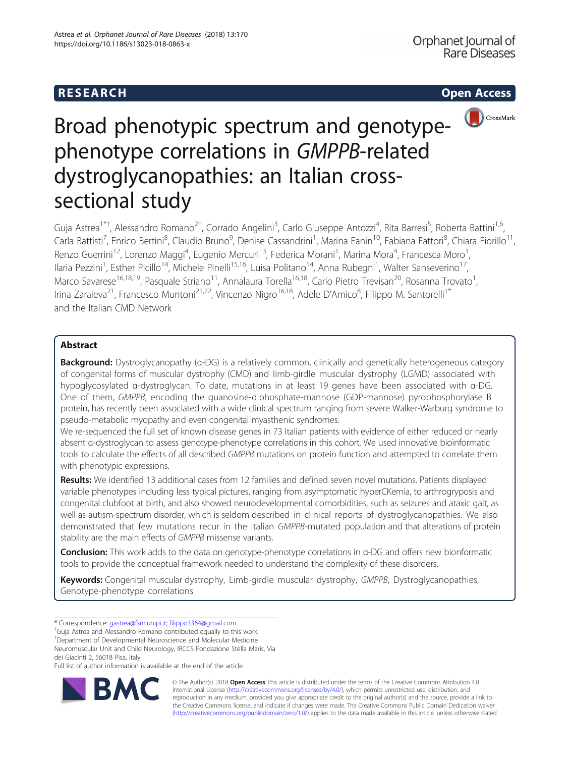# **RESEARCH CHEAR CHEAR CHEAR CHEAR CHEAR CHEAR CHEAR CHEAR CHEAR CHEAR CHEAR CHEAR CHEAR CHEAR CHEAR CHEAR CHEAR**



Guja Astrea<sup>1\*†</sup>, Alessandro Romano<sup>2†</sup>, Corrado Angelini<sup>3</sup>, Carlo Giuseppe Antozzi<sup>4</sup>, Rita Barresi<sup>5</sup>, Roberta Battini<sup>1,6</sup>, Carla Battisti<sup>7</sup>, Enrico Bertini<sup>8</sup>, Claudio Bruno<sup>9</sup>, Denise Cassandrini<sup>1</sup>, Marina Fanin<sup>10</sup>, Fabiana Fattori<sup>8</sup>, Chiara Fiorillo<sup>11</sup>, Renzo Guerrini<sup>12</sup>, Lorenzo Maggi<sup>4</sup>, Eugenio Mercuri<sup>13</sup>, Federica Morani<sup>1</sup>, Marina Mora<sup>4</sup>, Francesca Moro<sup>1</sup> , Ilaria Pezzini<sup>1</sup>, Esther Picillo<sup>14</sup>, Michele Pinelli<sup>15,16</sup>, Luisa Politano<sup>14</sup>, Anna Rubegni<sup>1</sup>, Walter Sanseverino<sup>17</sup>, Marco Savarese<sup>16,18,19</sup>, Pasquale Striano<sup>11</sup>, Annalaura Torella<sup>16,18</sup>, Carlo Pietro Trevisan<sup>20</sup>, Rosanna Trovato<sup>1</sup> , Irina Zaraieva<sup>21</sup>, Francesco Muntoni<sup>21,22</sup>, Vincenzo Nigro<sup>16,18</sup>, Adele D'Amico<sup>8</sup>, Filippo M. Santorelli<sup>1\*</sup> and the Italian CMD Network

## Abstract

Background: Dystroglycanopathy (α-DG) is a relatively common, clinically and genetically heterogeneous category of congenital forms of muscular dystrophy (CMD) and limb-girdle muscular dystrophy (LGMD) associated with hypoglycosylated α-dystroglycan. To date, mutations in at least 19 genes have been associated with α-DG. One of them, GMPPB, encoding the guanosine-diphosphate-mannose (GDP-mannose) pyrophosphorylase B protein, has recently been associated with a wide clinical spectrum ranging from severe Walker-Warburg syndrome to pseudo-metabolic myopathy and even congenital myasthenic syndromes.

We re-sequenced the full set of known disease genes in 73 Italian patients with evidence of either reduced or nearly absent α-dystroglycan to assess genotype-phenotype correlations in this cohort. We used innovative bioinformatic tools to calculate the effects of all described GMPPB mutations on protein function and attempted to correlate them with phenotypic expressions.

Results: We identified 13 additional cases from 12 families and defined seven novel mutations. Patients displayed variable phenotypes including less typical pictures, ranging from asymptomatic hyperCKemia, to arthrogryposis and congenital clubfoot at birth, and also showed neurodevelopmental comorbidities, such as seizures and ataxic gait, as well as autism-spectrum disorder, which is seldom described in clinical reports of dystroglycanopathies. We also demonstrated that few mutations recur in the Italian GMPPB-mutated population and that alterations of protein stability are the main effects of GMPPB missense variants.

Conclusion: This work adds to the data on genotype-phenotype correlations in α-DG and offers new bionformatic tools to provide the conceptual framework needed to understand the complexity of these disorders.

Keywords: Congenital muscular dystrophy, Limb-girdle muscular dystrophy, GMPPB, Dystroglycanopathies, Genotype-phenotype correlations

\* Correspondence: [gastrea@fsm.unipi.it;](mailto:gastrea@fsm.unipi.it) [filippo3364@gmail.com](mailto:filippo3364@gmail.com) †

<sup>†</sup>Guja Astrea and Alessandro Romano contributed equally to this work.

<sup>1</sup>Department of Developmental Neuroscience and Molecular Medicine

Neuromuscular Unit and Child Neurology, IRCCS Fondazione Stella Maris, Via dei Giacinti 2, 56018 Pisa, Italy

Full list of author information is available at the end of the article



© The Author(s). 2018 Open Access This article is distributed under the terms of the Creative Commons Attribution 4.0 International License [\(http://creativecommons.org/licenses/by/4.0/](http://creativecommons.org/licenses/by/4.0/)), which permits unrestricted use, distribution, and reproduction in any medium, provided you give appropriate credit to the original author(s) and the source, provide a link to the Creative Commons license, and indicate if changes were made. The Creative Commons Public Domain Dedication waiver [\(http://creativecommons.org/publicdomain/zero/1.0/](http://creativecommons.org/publicdomain/zero/1.0/)) applies to the data made available in this article, unless otherwise stated.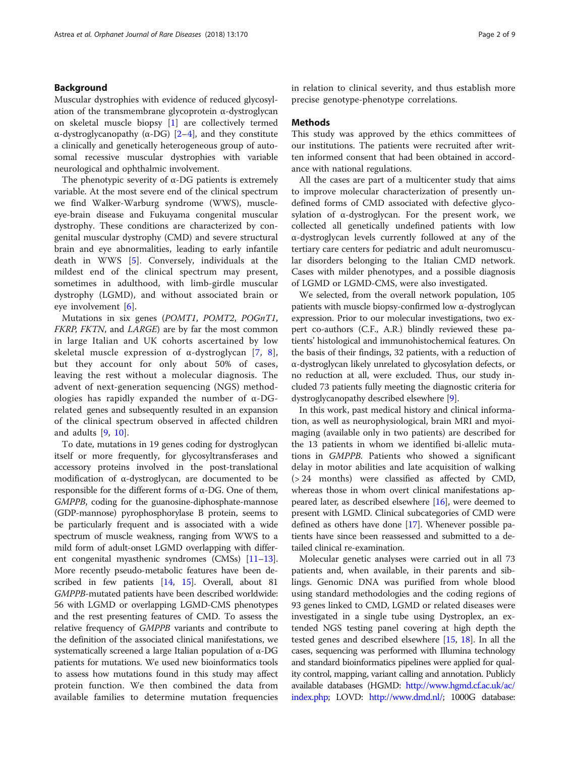## Background

Muscular dystrophies with evidence of reduced glycosylation of the transmembrane glycoprotein α-dystroglycan on skeletal muscle biopsy [\[1](#page-8-0)] are collectively termed α-dystroglycanopathy (α-DG) [\[2](#page-8-0)–[4\]](#page-8-0), and they constitute a clinically and genetically heterogeneous group of autosomal recessive muscular dystrophies with variable neurological and ophthalmic involvement.

The phenotypic severity of  $\alpha$ -DG patients is extremely variable. At the most severe end of the clinical spectrum we find Walker-Warburg syndrome (WWS), muscleeye-brain disease and Fukuyama congenital muscular dystrophy. These conditions are characterized by congenital muscular dystrophy (CMD) and severe structural brain and eye abnormalities, leading to early infantile death in WWS [[5\]](#page-8-0). Conversely, individuals at the mildest end of the clinical spectrum may present, sometimes in adulthood, with limb-girdle muscular dystrophy (LGMD), and without associated brain or eye involvement [\[6](#page-8-0)].

Mutations in six genes (POMT1, POMT2, POGnT1, FKRP, FKTN, and LARGE) are by far the most common in large Italian and UK cohorts ascertained by low skeletal muscle expression of  $\alpha$ -dystroglycan [[7,](#page-8-0) [8](#page-8-0)], but they account for only about 50% of cases, leaving the rest without a molecular diagnosis. The advent of next-generation sequencing (NGS) methodologies has rapidly expanded the number of α-DGrelated genes and subsequently resulted in an expansion of the clinical spectrum observed in affected children and adults [\[9](#page-8-0), [10](#page-8-0)].

To date, mutations in 19 genes coding for dystroglycan itself or more frequently, for glycosyltransferases and accessory proteins involved in the post-translational modification of α-dystroglycan, are documented to be responsible for the different forms of α-DG. One of them, GMPPB, coding for the guanosine-diphosphate-mannose (GDP-mannose) pyrophosphorylase B protein, seems to be particularly frequent and is associated with a wide spectrum of muscle weakness, ranging from WWS to a mild form of adult-onset LGMD overlapping with different congenital myasthenic syndromes (CMSs) [\[11](#page-8-0)–[13](#page-8-0)]. More recently pseudo-metabolic features have been described in few patients [\[14,](#page-8-0) [15\]](#page-8-0). Overall, about 81 GMPPB-mutated patients have been described worldwide: 56 with LGMD or overlapping LGMD-CMS phenotypes and the rest presenting features of CMD. To assess the relative frequency of GMPPB variants and contribute to the definition of the associated clinical manifestations, we systematically screened a large Italian population of α-DG patients for mutations. We used new bioinformatics tools to assess how mutations found in this study may affect protein function. We then combined the data from available families to determine mutation frequencies in relation to clinical severity, and thus establish more precise genotype-phenotype correlations.

## Methods

This study was approved by the ethics committees of our institutions. The patients were recruited after written informed consent that had been obtained in accordance with national regulations.

All the cases are part of a multicenter study that aims to improve molecular characterization of presently undefined forms of CMD associated with defective glycosylation of α-dystroglycan. For the present work, we collected all genetically undefined patients with low α-dystroglycan levels currently followed at any of the tertiary care centers for pediatric and adult neuromuscular disorders belonging to the Italian CMD network. Cases with milder phenotypes, and a possible diagnosis of LGMD or LGMD-CMS, were also investigated.

We selected, from the overall network population, 105 patients with muscle biopsy-confirmed low α-dystroglycan expression. Prior to our molecular investigations, two expert co-authors (C.F., A.R.) blindly reviewed these patients' histological and immunohistochemical features. On the basis of their findings, 32 patients, with a reduction of α-dystroglycan likely unrelated to glycosylation defects, or no reduction at all, were excluded. Thus, our study included 73 patients fully meeting the diagnostic criteria for dystroglycanopathy described elsewhere [[9\]](#page-8-0).

In this work, past medical history and clinical information, as well as neurophysiological, brain MRI and myoimaging (available only in two patients) are described for the 13 patients in whom we identified bi-allelic mutations in GMPPB. Patients who showed a significant delay in motor abilities and late acquisition of walking (> 24 months) were classified as affected by CMD, whereas those in whom overt clinical manifestations appeared later, as described elsewhere [\[16\]](#page-8-0), were deemed to present with LGMD. Clinical subcategories of CMD were defined as others have done [[17](#page-8-0)]. Whenever possible patients have since been reassessed and submitted to a detailed clinical re-examination.

Molecular genetic analyses were carried out in all 73 patients and, when available, in their parents and siblings. Genomic DNA was purified from whole blood using standard methodologies and the coding regions of 93 genes linked to CMD, LGMD or related diseases were investigated in a single tube using Dystroplex, an extended NGS testing panel covering at high depth the tested genes and described elsewhere [\[15,](#page-8-0) [18](#page-8-0)]. In all the cases, sequencing was performed with Illumina technology and standard bioinformatics pipelines were applied for quality control, mapping, variant calling and annotation. Publicly available databases (HGMD: [http://www.hgmd.cf.ac.uk/ac/](http://www.hgmd.cf.ac.uk/ac/index.php) [index.php;](http://www.hgmd.cf.ac.uk/ac/index.php) LOVD: [http://www.dmd.nl/;](http://www.dmd.nl/) 1000G database: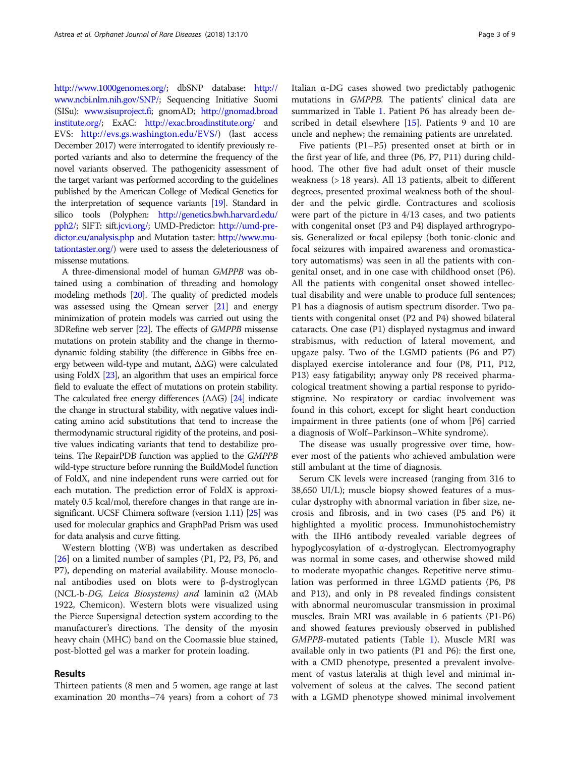[http://www.1000genomes.org/;](http://www.1000genomes.org/) dbSNP database: [http://](http://www.ncbi.nlm.nih.gov/SNP) [www.ncbi.nlm.nih.gov/SNP/](http://www.ncbi.nlm.nih.gov/SNP); Sequencing Initiative Suomi (SISu): [www.sisuproject.fi](http://www.sisuproject.fi); gnomAD; [http://gnomad.broad](http://gnomad.broadinstitute.org/) [institute.org/](http://gnomad.broadinstitute.org/); ExAC: <http://exac.broadinstitute.org/> and EVS: [http://evs.gs.washington.edu/EVS/\)](http://evs.gs.washington.edu/EVS) (last access December 2017) were interrogated to identify previously reported variants and also to determine the frequency of the novel variants observed. The pathogenicity assessment of the target variant was performed according to the guidelines published by the American College of Medical Genetics for the interpretation of sequence variants [[19](#page-8-0)]. Standard in silico tools (Polyphen: [http://genetics.bwh.harvard.edu/](http://genetics.bwh.harvard.edu/cgi-bin/ggi/ggi2.cgi) [pph2/;](http://genetics.bwh.harvard.edu/cgi-bin/ggi/ggi2.cgi) SIFT: sift.[jcvi.org/;](http://jcvi.org/) UMD-Predictor: [http://umd-pre](http://umd-predictor.eu/analysis.php)[dictor.eu/analysis.php](http://umd-predictor.eu/analysis.php) and Mutation taster: [http://www.mu](http://www.mutationtaster.org/)[tationtaster.org/](http://www.mutationtaster.org/)) were used to assess the deleteriousness of missense mutations.

A three-dimensional model of human GMPPB was obtained using a combination of threading and homology modeling methods [\[20\]](#page-8-0). The quality of predicted models was assessed using the Qmean server [\[21\]](#page-8-0) and energy minimization of protein models was carried out using the 3DRefine web server [\[22](#page-8-0)]. The effects of GMPPB missense mutations on protein stability and the change in thermodynamic folding stability (the difference in Gibbs free energy between wild-type and mutant, ΔΔG) were calculated using FoldX [\[23\]](#page-8-0), an algorithm that uses an empirical force field to evaluate the effect of mutations on protein stability. The calculated free energy differences  $( \Delta \Delta G)$  [[24](#page-8-0)] indicate the change in structural stability, with negative values indicating amino acid substitutions that tend to increase the thermodynamic structural rigidity of the proteins, and positive values indicating variants that tend to destabilize proteins. The RepairPDB function was applied to the GMPPB wild-type structure before running the BuildModel function of FoldX, and nine independent runs were carried out for each mutation. The prediction error of FoldX is approximately 0.5 kcal/mol, therefore changes in that range are insignificant. UCSF Chimera software (version 1.11) [\[25\]](#page-8-0) was used for molecular graphics and GraphPad Prism was used for data analysis and curve fitting.

Western blotting (WB) was undertaken as described [[26\]](#page-8-0) on a limited number of samples (P1, P2, P3, P6, and P7), depending on material availability. Mouse monoclonal antibodies used on blots were to β-dystroglycan (NCL-b-DG, Leica Biosystems) and laminin α2 (MAb 1922, Chemicon). Western blots were visualized using the Pierce Supersignal detection system according to the manufacturer's directions. The density of the myosin heavy chain (MHC) band on the Coomassie blue stained, post-blotted gel was a marker for protein loading.

## Results

Thirteen patients (8 men and 5 women, age range at last examination 20 months–74 years) from a cohort of 73 Italian α-DG cases showed two predictably pathogenic mutations in GMPPB. The patients' clinical data are summarized in Table [1.](#page-3-0) Patient P6 has already been described in detail elsewhere [[15](#page-8-0)]. Patients 9 and 10 are uncle and nephew; the remaining patients are unrelated.

Five patients (P1–P5) presented onset at birth or in the first year of life, and three (P6, P7, P11) during childhood. The other five had adult onset of their muscle weakness (> 18 years). All 13 patients, albeit to different degrees, presented proximal weakness both of the shoulder and the pelvic girdle. Contractures and scoliosis were part of the picture in 4/13 cases, and two patients with congenital onset (P3 and P4) displayed arthrogryposis. Generalized or focal epilepsy (both tonic-clonic and focal seizures with impaired awareness and oromasticatory automatisms) was seen in all the patients with congenital onset, and in one case with childhood onset (P6). All the patients with congenital onset showed intellectual disability and were unable to produce full sentences; P1 has a diagnosis of autism spectrum disorder. Two patients with congenital onset (P2 and P4) showed bilateral cataracts. One case (P1) displayed nystagmus and inward strabismus, with reduction of lateral movement, and upgaze palsy. Two of the LGMD patients (P6 and P7) displayed exercise intolerance and four (P8, P11, P12, P13) easy fatigability; anyway only P8 received pharmacological treatment showing a partial response to pyridostigmine. No respiratory or cardiac involvement was found in this cohort, except for slight heart conduction impairment in three patients (one of whom [P6] carried a diagnosis of Wolf–Parkinson–White syndrome).

The disease was usually progressive over time, however most of the patients who achieved ambulation were still ambulant at the time of diagnosis.

Serum CK levels were increased (ranging from 316 to 38,650 UI/L); muscle biopsy showed features of a muscular dystrophy with abnormal variation in fiber size, necrosis and fibrosis, and in two cases (P5 and P6) it highlighted a myolitic process. Immunohistochemistry with the IIH6 antibody revealed variable degrees of hypoglycosylation of α-dystroglycan. Electromyography was normal in some cases, and otherwise showed mild to moderate myopathic changes. Repetitive nerve stimulation was performed in three LGMD patients (P6, P8 and P13), and only in P8 revealed findings consistent with abnormal neuromuscular transmission in proximal muscles. Brain MRI was available in 6 patients (P1-P6) and showed features previously observed in published GMPPB-mutated patients (Table [1\)](#page-3-0). Muscle MRI was available only in two patients (P1 and P6): the first one, with a CMD phenotype, presented a prevalent involvement of vastus lateralis at thigh level and minimal involvement of soleus at the calves. The second patient with a LGMD phenotype showed minimal involvement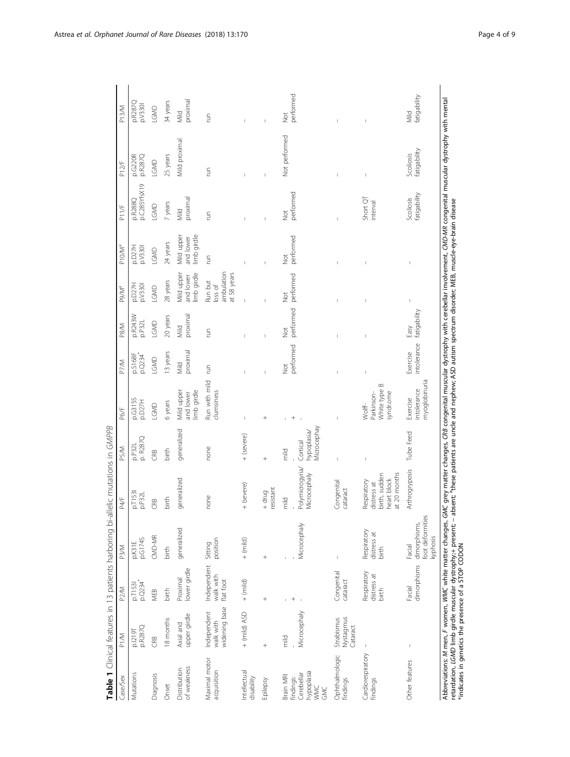<span id="page-3-0"></span>

| <b>THE PION OF THE SERVICE SERVICE SERVICE SERVICE SERVICE SERVICE SERVICE</b> |                                           |                                       |                                                                                                                                                                                                                                            | ellic Tilulations in Givirro                                               |                                                         |                                                             |                         |                       |                                                 |                                       |                            |                                                                                                                                                                                                   |                                       |
|--------------------------------------------------------------------------------|-------------------------------------------|---------------------------------------|--------------------------------------------------------------------------------------------------------------------------------------------------------------------------------------------------------------------------------------------|----------------------------------------------------------------------------|---------------------------------------------------------|-------------------------------------------------------------|-------------------------|-----------------------|-------------------------------------------------|---------------------------------------|----------------------------|---------------------------------------------------------------------------------------------------------------------------------------------------------------------------------------------------|---------------------------------------|
| Case/Sex                                                                       | P1/M                                      | P <sub>2/M</sub>                      | P <sub>3/M</sub>                                                                                                                                                                                                                           | P4/F                                                                       | P5/M                                                    | P6/F                                                        | P7/M                    | P8/M                  | P9/M <sup>a</sup>                               | P10/M <sup>a</sup>                    | P11/F                      | P12/F                                                                                                                                                                                             | P13/M                                 |
| Mutations                                                                      | p.1219T<br>p.R287Q                        | p.Q234<br>p.T1531                     | p.G174S<br>p.K31E                                                                                                                                                                                                                          | p.T153<br>p.P32L                                                           | p. R287Q<br>p.P32L                                      | p.G315S<br>p.D27H                                           | p.Q234<br>p.S168F       | p.R243W<br>p.P32L     | p.D27H<br>p.V330                                | p.D27H<br>p.V330                      | p.C285YfsX19<br>p.R288Q    | p.R287Q<br>p.G220R                                                                                                                                                                                | p.R287Q<br>p.V330I                    |
| Diagnosis                                                                      | CRB                                       | MEB                                   | CMD-MR                                                                                                                                                                                                                                     | CRB                                                                        | CRB                                                     | LGMD                                                        | LGMD                    | LGMD                  | LGMD                                            | LGMD                                  | LGMD                       | LGMD                                                                                                                                                                                              | LGMD                                  |
| Onset                                                                          | 18 months                                 | birth                                 | birth                                                                                                                                                                                                                                      | birth                                                                      | birth                                                   | 6 years                                                     | 13 years                | 20 years              | 28 years                                        | 24 years                              | 7 years                    | 25 years                                                                                                                                                                                          | 34 years                              |
| of weakness<br>Distribution                                                    | upper girdle<br>Axial and                 | ower girdle<br>Proximal               | generalized                                                                                                                                                                                                                                | generalized                                                                | generalized                                             | limb girdle<br>Mild upper<br>and lower                      | proximal<br>Mild        | proximal<br>Mild      | Mild upper<br>imb girdle<br>and lower           | imb girdle<br>Mild upper<br>and lower | proximal<br>Mild           | Mild proximal                                                                                                                                                                                     | proximal<br>Mild                      |
| Maximal motor<br>acquisition                                                   | widening base<br>Independent<br>walk with | Independent<br>walk with<br>flat foot | position<br>Sitting                                                                                                                                                                                                                        | none                                                                       | none                                                    | Run with mild<br>clumsiness                                 | ξ                       | E                     | ambulation<br>at 58 years<br>Run but<br>loss of | E                                     | Fun                        | ξ                                                                                                                                                                                                 | S                                     |
| Intellectual<br>disability                                                     | $+$ (mild) ASD                            | $+$ (mild)                            | $+$ (mild)                                                                                                                                                                                                                                 | + (severe)                                                                 | + (severe)                                              | I.                                                          |                         |                       | I                                               |                                       |                            |                                                                                                                                                                                                   |                                       |
| Epilepsy                                                                       |                                           | $^{+}$                                | $^{+}$                                                                                                                                                                                                                                     | resistant<br>$+$ drug                                                      | $^{+}$                                                  | $^{+}$                                                      | Ï                       | Ï                     | Ï                                               | Ï                                     |                            | Ţ                                                                                                                                                                                                 |                                       |
| hypoplasia<br>Cerebellar<br>Brain MRI<br>findings:<br><b>WWC</b><br>š          | Microcephaly<br>$\frac{1}{2}$             |                                       | Microcephaly                                                                                                                                                                                                                               | Polymicrogyria/<br>Microcephaly<br>mild                                    | Microcephay<br>hypoplasia/<br>Cortical<br>$\frac{1}{2}$ |                                                             | performed<br><b>Not</b> | performed<br><b>S</b> | performed<br>$\frac{1}{2}$                      | performed<br>$\frac{1}{2}$            | performed<br>$\frac{1}{2}$ | Not performed                                                                                                                                                                                     | performed<br>$\overline{\mathcal{Q}}$ |
| Ophthalmologic<br>findings                                                     | Nystagmus<br>Strabismus<br>Cataract       | Congenital<br>cataract                | $\overline{1}$                                                                                                                                                                                                                             | Congenital<br>cataract                                                     | $\overline{1}$                                          |                                                             |                         |                       |                                                 |                                       |                            | $\mathbf{I}$                                                                                                                                                                                      |                                       |
| Cardiorespiratory<br>findings                                                  |                                           | Respiratory<br>distress at<br>birth   | Respiratory<br>distress at<br>birth                                                                                                                                                                                                        | at 20 months<br>birth, sudden<br>heart block<br>Respiratory<br>distress at | I                                                       | $\infty$<br>White type<br>syndr.ome<br>Parkinson-<br>Wolff- |                         |                       |                                                 |                                       | Short QT<br>interval       | $\overline{\phantom{a}}$                                                                                                                                                                          |                                       |
| Other features                                                                 | $\mathbf{I}$                              | Facial                                | foot deformities<br>dimorphisms dimorphisms,<br>kyphosis<br>Facial                                                                                                                                                                         | Arthrogryposis                                                             | Tube Feed                                               | myoglobinuria<br>intolerance<br>Exercise                    | intolerance<br>Exercise | fatigability<br>Easy  |                                                 |                                       | fatigability<br>Scoliosis  | fatigability<br>Scoliosis                                                                                                                                                                         | fatigability<br>Mild                  |
|                                                                                |                                           |                                       | retardation, LGMD limb girdle muscular dystrophy;+ present; – absent; <sup>a</sup> these patients are uncle and nephew; ASD autism spectrum disorder; MEB, muscle-eye-brain disease<br>*indicates in genetics the presence of a STOP CODON |                                                                            |                                                         |                                                             |                         |                       |                                                 |                                       |                            | Abbreviations: M men, F women, WMC white matter changes, GMC grey matter changes, CRB congenital muscular dystrophy with cerebellar involvement, CMD-MR congenital muscular dystrophy with mental |                                       |

mutations in GMPPR **Table 1** Clinical features in 13 patients harboring bi-allelic mutations in GMPPB Table 1 Clinical features in 13 natients harboring bi-allelic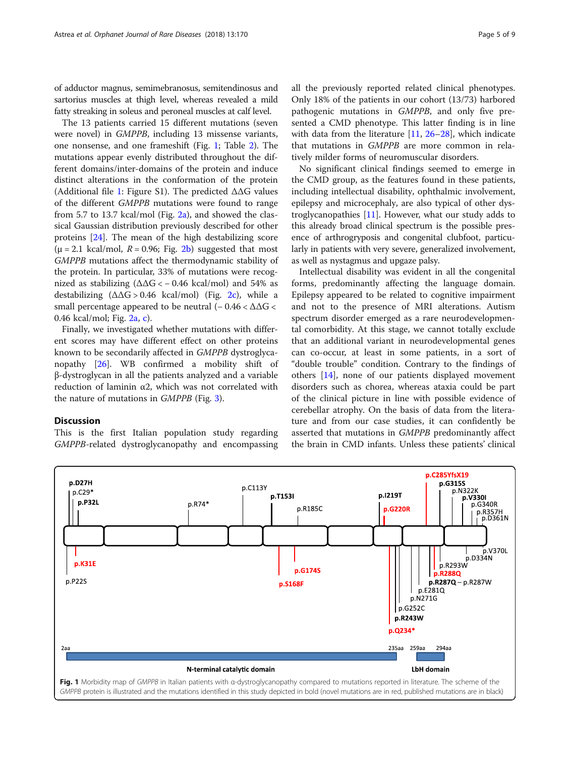of adductor magnus, semimebranosus, semitendinosus and sartorius muscles at thigh level, whereas revealed a mild fatty streaking in soleus and peroneal muscles at calf level.

The 13 patients carried 15 different mutations (seven were novel) in GMPPB, including 13 missense variants, one nonsense, and one frameshift (Fig. 1; Table [2](#page-5-0)). The mutations appear evenly distributed throughout the different domains/inter-domains of the protein and induce distinct alterations in the conformation of the protein (Additional file [1](#page-7-0): Figure S1). The predicted ΔΔG values of the different GMPPB mutations were found to range from 5.7 to 13.7 kcal/mol (Fig. [2a](#page-6-0)), and showed the classical Gaussian distribution previously described for other proteins [\[24](#page-8-0)]. The mean of the high destabilizing score  $(\mu = 2.1 \text{ kcal/mol}, R = 0.96; Fig. 2b) suggested that most$  $(\mu = 2.1 \text{ kcal/mol}, R = 0.96; Fig. 2b) suggested that most$  $(\mu = 2.1 \text{ kcal/mol}, R = 0.96; Fig. 2b) suggested that most$ GMPPB mutations affect the thermodynamic stability of the protein. In particular, 33% of mutations were recognized as stabilizing  $(\Delta\Delta G < -0.46 \text{ kcal/mol})$  and 54% as destabilizing  $(\Delta \Delta G > 0.46 \text{ kcal/mol})$  (Fig. [2c](#page-6-0)), while a small percentage appeared to be neutral  $(-0.46 < \Delta \Delta G <$ 0.46 kcal/mol; Fig. [2a](#page-6-0), [c\)](#page-6-0).

Finally, we investigated whether mutations with different scores may have different effect on other proteins known to be secondarily affected in GMPPB dystroglycanopathy [[26](#page-8-0)]. WB confirmed a mobility shift of β-dystroglycan in all the patients analyzed and a variable reduction of laminin α2, which was not correlated with the nature of mutations in GMPPB (Fig. [3](#page-6-0)).

#### **Discussion**

This is the first Italian population study regarding GMPPB-related dystroglycanopathy and encompassing all the previously reported related clinical phenotypes. Only 18% of the patients in our cohort (13/73) harbored pathogenic mutations in GMPPB, and only five presented a CMD phenotype. This latter finding is in line with data from the literature [\[11](#page-8-0), [26](#page-8-0)–[28](#page-8-0)], which indicate that mutations in GMPPB are more common in relatively milder forms of neuromuscular disorders.

No significant clinical findings seemed to emerge in the CMD group, as the features found in these patients, including intellectual disability, ophthalmic involvement, epilepsy and microcephaly, are also typical of other dystroglycanopathies  $[11]$  $[11]$ . However, what our study adds to this already broad clinical spectrum is the possible presence of arthrogryposis and congenital clubfoot, particularly in patients with very severe, generalized involvement, as well as nystagmus and upgaze palsy.

Intellectual disability was evident in all the congenital forms, predominantly affecting the language domain. Epilepsy appeared to be related to cognitive impairment and not to the presence of MRI alterations. Autism spectrum disorder emerged as a rare neurodevelopmental comorbidity. At this stage, we cannot totally exclude that an additional variant in neurodevelopmental genes can co-occur, at least in some patients, in a sort of "double trouble" condition. Contrary to the findings of others [\[14](#page-8-0)], none of our patients displayed movement disorders such as chorea, whereas ataxia could be part of the clinical picture in line with possible evidence of cerebellar atrophy. On the basis of data from the literature and from our case studies, it can confidently be asserted that mutations in GMPPB predominantly affect the brain in CMD infants. Unless these patients' clinical

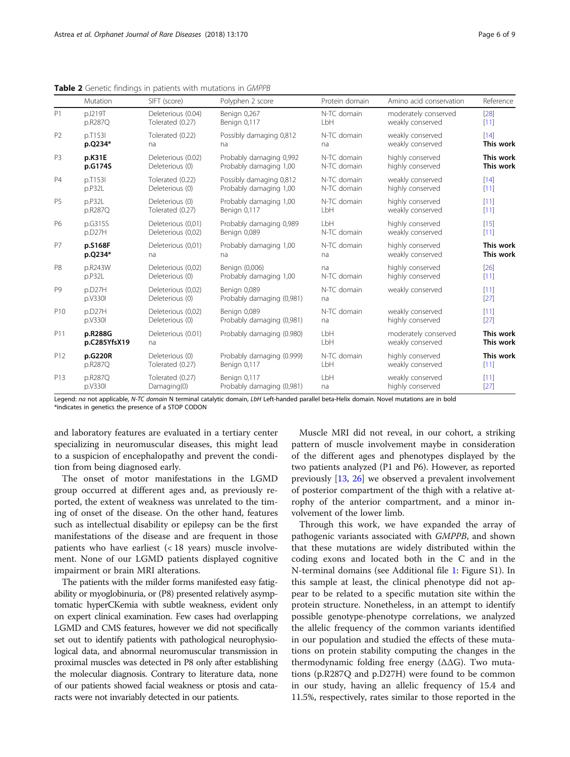<span id="page-5-0"></span>Table 2 Genetic findings in patients with mutations in GMPPB

|                 | <b>Mutation</b>         | SIFT (score)                          | Polyphen 2 score                          | Protein domain    | Amino acid conservation                  | Reference              |
|-----------------|-------------------------|---------------------------------------|-------------------------------------------|-------------------|------------------------------------------|------------------------|
| P1              | p.I219T                 | Deleterious (0.04)                    | Benign 0,267                              | N-TC domain       | moderately conserved                     | [28]                   |
|                 | p.R287Q                 | Tolerated (0.27)                      | Benign 0,117                              | LbH               | weakly conserved                         | $[11]$                 |
| P <sub>2</sub>  | p.T153I                 | Tolerated (0.22)                      | Possibly damaging 0,812                   | N-TC domain       | weakly conserved                         | [14]                   |
|                 | p.Q234*                 | na                                    | na                                        | na                | weakly conserved                         | This work              |
| P <sub>3</sub>  | p.K31E                  | Deleterious (0.02)                    | Probably damaging 0,992                   | N-TC domain       | highly conserved                         | This work              |
|                 | p.G174S                 | Deleterious (0)                       | Probably damaging 1,00                    | N-TC domain       | highly conserved                         | This work              |
| <b>P4</b>       | p.T153I                 | Tolerated (0.22)                      | Possibly damaging 0,812                   | N-TC domain       | weakly conserved                         | [14]                   |
|                 | p.P32L                  | Deleterious (0)                       | Probably damaging 1,00                    | N-TC domain       | highly conserved                         | $[11]$                 |
| P <sub>5</sub>  | p.P32L                  | Deleterious (0)                       | Probably damaging 1,00                    | N-TC domain       | highly conserved                         | [11]                   |
|                 | p.R287Q                 | Tolerated (0.27)                      | Benign 0,117                              | LbH               | weakly conserved                         | [11]                   |
| P6              | p.G315S                 | Deleterious (0,01)                    | Probably damaging 0,989                   | LbH               | highly conserved                         | [15]                   |
|                 | p.D27H                  | Deleterious (0,02)                    | Benign 0,089                              | N-TC domain       | weakly conserved                         | $[11]$                 |
| <b>P7</b>       | p.S168F                 | Deleterious (0,01)                    | Probably damaging 1,00                    | N-TC domain       | highly conserved                         | This work              |
|                 | p.Q234*                 | na                                    | na                                        | na                | weakly conserved                         | This work              |
| P <sub>8</sub>  | p.R243W                 | Deleterious (0,02)                    | Benign (0,006)                            | na                | highly conserved                         | [26]                   |
|                 | p.P32L                  | Deleterious (0)                       | Probably damaging 1,00                    | N-TC domain       | highly conserved                         | $[11]$                 |
| P <sub>9</sub>  | p.D27H<br>p.V330I       | Deleterious (0,02)<br>Deleterious (0) | Benign 0,089<br>Probably damaging (0,981) | N-TC domain<br>na | weakly conserved                         | [11]<br>$[27]$         |
| P <sub>10</sub> | p.D27H                  | Deleterious (0.02)                    | Benign 0,089                              | N-TC domain       | weakly conserved                         | [11]                   |
|                 | p.V330I                 | Deleterious (0)                       | Probably damaging (0,981)                 | na                | highly conserved                         | [27]                   |
| P11             | p.R288G<br>p.C285YfsX19 | Deleterious (0.01)<br>na              | Probably damaging (0.980)                 | LbH<br>LbH        | moderately conserved<br>weakly conserved | This work<br>This work |
| P12             | p.G220R                 | Deleterious (0)                       | Probably damaging (0.999)                 | N-TC domain       | highly conserved                         | This work              |
|                 | p.R287Q                 | Tolerated (0.27)                      | Benign 0,117                              | LbH               | weakly conserved                         | [11]                   |
| P13             | p.R287Q                 | Tolerated (0.27)                      | Benign 0,117                              | LbH               | weakly conserved                         | $[11]$                 |
|                 | p.V330I                 | Damaging(0)                           | Probably damaging (0,981)                 | na                | highly conserved                         | $[27]$                 |

Legend: na not applicable, N-TC domain N terminal catalytic domain, LbH Left-handed parallel beta-Helix domain. Novel mutations are in bold \*indicates in genetics the presence of a STOP CODON

and laboratory features are evaluated in a tertiary center specializing in neuromuscular diseases, this might lead to a suspicion of encephalopathy and prevent the condition from being diagnosed early.

The onset of motor manifestations in the LGMD group occurred at different ages and, as previously reported, the extent of weakness was unrelated to the timing of onset of the disease. On the other hand, features such as intellectual disability or epilepsy can be the first manifestations of the disease and are frequent in those patients who have earliest (< 18 years) muscle involvement. None of our LGMD patients displayed cognitive impairment or brain MRI alterations.

The patients with the milder forms manifested easy fatigability or myoglobinuria, or (P8) presented relatively asymptomatic hyperCKemia with subtle weakness, evident only on expert clinical examination. Few cases had overlapping LGMD and CMS features, however we did not specifically set out to identify patients with pathological neurophysiological data, and abnormal neuromuscular transmission in proximal muscles was detected in P8 only after establishing the molecular diagnosis. Contrary to literature data, none of our patients showed facial weakness or ptosis and cataracts were not invariably detected in our patients.

Muscle MRI did not reveal, in our cohort, a striking pattern of muscle involvement maybe in consideration of the different ages and phenotypes displayed by the two patients analyzed (P1 and P6). However, as reported previously [[13,](#page-8-0) [26](#page-8-0)] we observed a prevalent involvement of posterior compartment of the thigh with a relative atrophy of the anterior compartment, and a minor involvement of the lower limb.

Through this work, we have expanded the array of pathogenic variants associated with GMPPB, and shown that these mutations are widely distributed within the coding exons and located both in the C and in the N-terminal domains (see Additional file [1](#page-7-0): Figure S1). In this sample at least, the clinical phenotype did not appear to be related to a specific mutation site within the protein structure. Nonetheless, in an attempt to identify possible genotype-phenotype correlations, we analyzed the allelic frequency of the common variants identified in our population and studied the effects of these mutations on protein stability computing the changes in the thermodynamic folding free energy (ΔΔG). Two mutations (p.R287Q and p.D27H) were found to be common in our study, having an allelic frequency of 15.4 and 11.5%, respectively, rates similar to those reported in the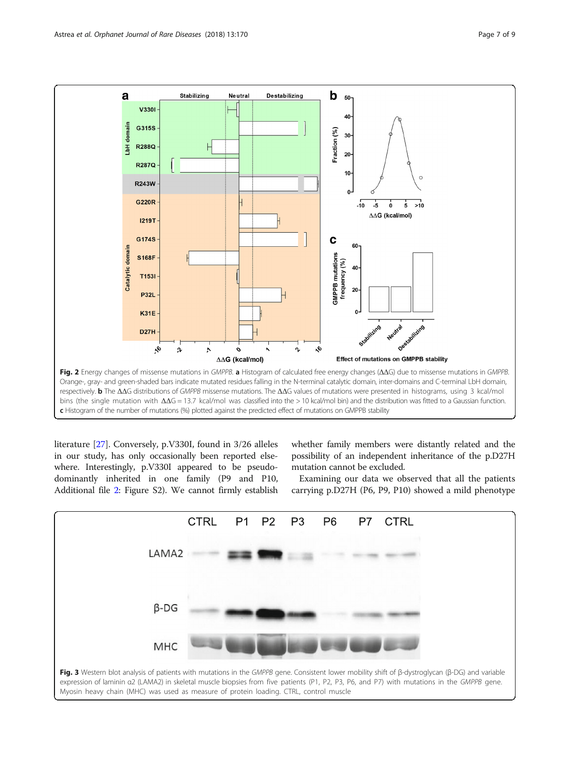<span id="page-6-0"></span>

literature [\[27](#page-8-0)]. Conversely, p.V330I, found in 3/26 alleles in our study, has only occasionally been reported elsewhere. Interestingly, p.V330I appeared to be pseudodominantly inherited in one family (P9 and P10, Additional file [2:](#page-7-0) Figure S2). We cannot firmly establish

whether family members were distantly related and the possibility of an independent inheritance of the p.D27H mutation cannot be excluded.

Examining our data we observed that all the patients carrying p.D27H (P6, P9, P10) showed a mild phenotype

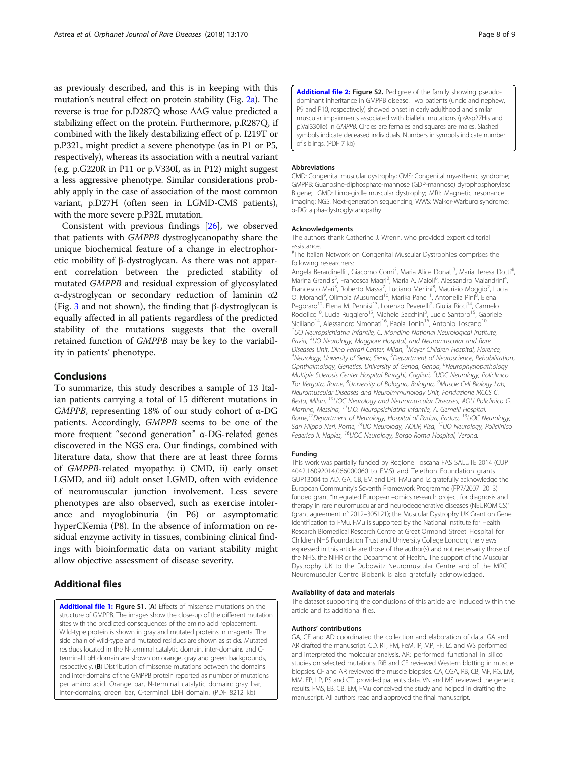<span id="page-7-0"></span>as previously described, and this is in keeping with this mutation's neutral effect on protein stability (Fig. [2a](#page-6-0)). The reverse is true for p.D287Q whose ΔΔG value predicted a stabilizing effect on the protein. Furthermore, p.R287Q, if combined with the likely destabilizing effect of p. I219T or p.P32L, might predict a severe phenotype (as in P1 or P5, respectively), whereas its association with a neutral variant (e.g. p.G220R in P11 or p.V330I, as in P12) might suggest a less aggressive phenotype. Similar considerations probably apply in the case of association of the most common variant, p.D27H (often seen in LGMD-CMS patients), with the more severe p.P32L mutation.

Consistent with previous findings [\[26](#page-8-0)], we observed that patients with GMPPB dystroglycanopathy share the unique biochemical feature of a change in electrophoretic mobility of β-dystroglycan. As there was not apparent correlation between the predicted stability of mutated GMPPB and residual expression of glycosylated α-dystroglycan or secondary reduction of laminin α2 (Fig. [3](#page-6-0) and not shown), the finding that β-dystroglycan is equally affected in all patients regardless of the predicted stability of the mutations suggests that the overall retained function of GMPPB may be key to the variability in patients' phenotype.

## Conclusions

To summarize, this study describes a sample of 13 Italian patients carrying a total of 15 different mutations in GMPPB, representing 18% of our study cohort of α-DG patients. Accordingly, GMPPB seems to be one of the more frequent "second generation" α-DG-related genes discovered in the NGS era. Our findings, combined with literature data, show that there are at least three forms of GMPPB-related myopathy: i) CMD, ii) early onset LGMD, and iii) adult onset LGMD, often with evidence of neuromuscular junction involvement. Less severe phenotypes are also observed, such as exercise intolerance and myoglobinuria (in P6) or asymptomatic hyperCKemia (P8). In the absence of information on residual enzyme activity in tissues, combining clinical findings with bioinformatic data on variant stability might allow objective assessment of disease severity.

## Additional files

[Additional file 1:](https://doi.org/10.1186/s13023-018-0863-x) Figure S1. (A) Effects of missense mutations on the structure of GMPPB. The images show the close-up of the different mutation sites with the predicted consequences of the amino acid replacement. Wild-type protein is shown in gray and mutated proteins in magenta. The side chain of wild-type and mutated residues are shown as sticks. Mutated residues located in the N-terminal catalytic domain, inter-domains and Cterminal LbH domain are shown on orange, gray and green backgrounds, respectively. (B) Distribution of missense mutations between the domains and inter-domains of the GMPPB protein reported as number of mutations per amino acid. Orange bar, N-terminal catalytic domain; gray bar, inter-domains; green bar, C-terminal LbH domain. (PDF 8212 kb)

[Additional file 2:](https://doi.org/10.1186/s13023-018-0863-x) Figure S2. Pedigree of the family showing pseudodominant inheritance in GMPPB disease. Two patients (uncle and nephew, P9 and P10, respectively) showed onset in early adulthood and similar muscular impairments associated with biallelic mutations (p:Asp27His and p.Val330Ile) in GMPPB. Circles are females and squares are males. Slashed symbols indicate deceased individuals. Numbers in symbols indicate number of siblings. (PDF 7 kb)

#### Abbreviations

CMD: Congenital muscular dystrophy; CMS: Congenital myasthenic syndrome; GMPPB: Guanosine-diphosphate-mannose (GDP-mannose) dyrophosphorylase B gene; LGMD: Limb-girdle muscular dystrophy; MRI: Magnetic resonance imaging; NGS: Next-generation sequencing; WWS: Walker-Warburg syndrome; α-DG: alpha-dystroglycanopathy

#### Acknowledgements

The authors thank Catherine J. Wrenn, who provided expert editorial assistance.

# The Italian Network on Congenital Muscular Dystrophies comprises the following researchers:

Angela Berardinelli<sup>1</sup>, Giacomo Comi<sup>2</sup>, Maria Alice Donati<sup>3</sup>, Maria Teresa Dotti<sup>4</sup> , Marina Grandis<sup>5</sup>, Francesca Magri<sup>2</sup>, Maria A. Maioli<sup>6</sup>, Alessandro Malandrini<sup>4</sup> , Francesco Mari<sup>3</sup>, Roberto Massa<sup>7</sup>, Luciano Merlini<sup>8</sup>, Maurizio Moggio<sup>2</sup>, Lucia O. Morandi<sup>9</sup>, Olimpia Musumeci<sup>10</sup>, Marika Pane<sup>11</sup>, Antonella Pini<sup>8</sup>, Elena Pegoraro<sup>12</sup>, Elena M. Pennisi<sup>13</sup>, Lorenzo Peverelli<sup>2</sup>, Giulia Ricci<sup>14</sup>, Carmelo Rodolico<sup>10</sup>, Lucia Ruggiero<sup>15</sup>, Michele Sacchini<sup>3</sup>, Lucio Santoro<sup>15</sup>, Gabriele Siciliano<sup>14</sup>, Alessandro Simonati<sup>16</sup>, Paola Tonin<sup>16</sup>, Antonio Toscano<sup>10</sup> <sup>1</sup>UO Neuropsichiatria Infantile, C. Mondino National Neurological Institute, Pavia, <sup>2</sup>UO Neurology, Maggiore Hospital, and Neuromuscular and Rare Diseases Unit, Dino Ferrari Center, Milan, <sup>3</sup> Meyer Children Hospital, Florence,<br><sup>4</sup> Neurology University of Signa, Signa, <sup>5</sup> Department of Neuroscience, Pehability <sup>'</sup>Neurology, University of Siena, Siena, <sup>5</sup>Department of Neuroscience, Rehabilitation, Ophthalmology, Genetics, University of Genoa, Genoa, <sup>6</sup>Neurophysiopathology Multiple Sclerosis Center Hospital Binaghi, Cagliari, <sup>7</sup>UOC Neurology, Policlinico Tor Vergata, Rome, <sup>8</sup>University of Bologna, Bologna, <sup>9</sup>Muscle Cell Biology Lab, Neuromuscular Diseases and Neuroimmunology Unit, Fondazione IRCCS C. Besta, Milan, <sup>10</sup>UOC Neurology and Neuromuscular Diseases, AOU Policlinico G. Martino, Messina, 11U.O. Neuropsichiatria Infantile, A. Gemelli Hospital, Rome,<sup>12</sup>Department of Neurology, Hospital of Padua, Padua, <sup>13</sup>UOC Neurology, San Filippo Neri, Rome, 14UO Neurology, AOUP, Pisa, 15UO Neurology, Policlinico Federico II, Naples, <sup>16</sup>UOC Neurology, Borgo Roma Hospital, Verona.

#### Funding

This work was partially funded by Regione Toscana FAS SALUTE 2014 (CUP 4042.16092014.066000060 to FMS) and Telethon Foundation grants GUP13004 to AD, GA, CB, EM and LP). FMu and IZ gratefully acknowledge the European Community's Seventh Framework Programme (FP7/2007–2013) funded grant "Integrated European –omics research project for diagnosis and therapy in rare neuromuscular and neurodegenerative diseases (NEUROMICS)" (grant agreement n° 2012–305121); the Muscular Dystrophy UK Grant on Gene Identification to FMu. FMu is supported by the National Institute for Health Research Biomedical Research Centre at Great Ormond Street Hospital for Children NHS Foundation Trust and University College London; the views expressed in this article are those of the author(s) and not necessarily those of the NHS, the NIHR or the Department of Health.. The support of the Muscular Dystrophy UK to the Dubowitz Neuromuscular Centre and of the MRC Neuromuscular Centre Biobank is also gratefully acknowledged.

#### Availability of data and materials

The dataset supporting the conclusions of this article are included within the article and its additional files.

#### Authors' contributions

GA, CF and AD coordinated the collection and elaboration of data. GA and AR drafted the manuscript. CD, RT, FM, FeM, IP, MP, FF, IZ, and WS performed and interpreted the molecular analysis. AR: performed functional in silico studies on selected mutations. RiB and CF reviewed Western blotting in muscle biopsies. CF and AR reviewed the muscle biopsies. CA, CGA, RB, CB, MF, RG, LM, MM, EP, LP, PS and CT, provided patients data. VN and MS reviewed the genetic results. FMS, EB, CB, EM, FMu conceived the study and helped in drafting the manuscript. All authors read and approved the final manuscript.